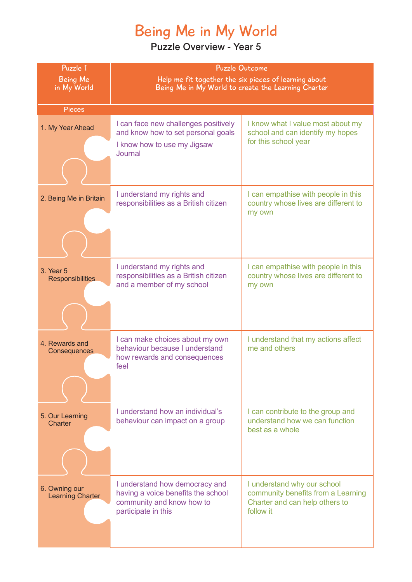# Being Me in My World

| Puzzle 1                                 | <b>Puzzle Outcome</b>                                                                                                    |                                                                                                                  |
|------------------------------------------|--------------------------------------------------------------------------------------------------------------------------|------------------------------------------------------------------------------------------------------------------|
| <b>Being Me</b><br>in My World           | Help me fit together the six pieces of learning about<br>Being Me in My World to create the Learning Charter             |                                                                                                                  |
|                                          |                                                                                                                          |                                                                                                                  |
| <b>Pieces</b>                            |                                                                                                                          |                                                                                                                  |
| 1. My Year Ahead                         | I can face new challenges positively<br>and know how to set personal goals                                               | I know what I value most about my<br>school and can identify my hopes                                            |
|                                          | I know how to use my Jigsaw<br>Journal                                                                                   | for this school year                                                                                             |
|                                          |                                                                                                                          |                                                                                                                  |
| 2. Being Me in Britain                   | I understand my rights and<br>responsibilities as a British citizen                                                      | I can empathise with people in this<br>country whose lives are different to<br>my own                            |
|                                          |                                                                                                                          |                                                                                                                  |
| 3. Year 5<br><b>Responsibilities</b>     | I understand my rights and<br>responsibilities as a British citizen<br>and a member of my school                         | I can empathise with people in this<br>country whose lives are different to<br>my own                            |
| 4. Rewards and<br>Consequences           | I can make choices about my own<br>behaviour because I understand<br>how rewards and consequences<br>feel                | I understand that my actions affect<br>me and others                                                             |
| 5. Our Learning<br>Charter               | I understand how an individual's<br>behaviour can impact on a group                                                      | I can contribute to the group and<br>understand how we can function<br>best as a whole                           |
| 6. Owning our<br><b>Learning Charter</b> | I understand how democracy and<br>having a voice benefits the school<br>community and know how to<br>participate in this | I understand why our school<br>community benefits from a Learning<br>Charter and can help others to<br>follow it |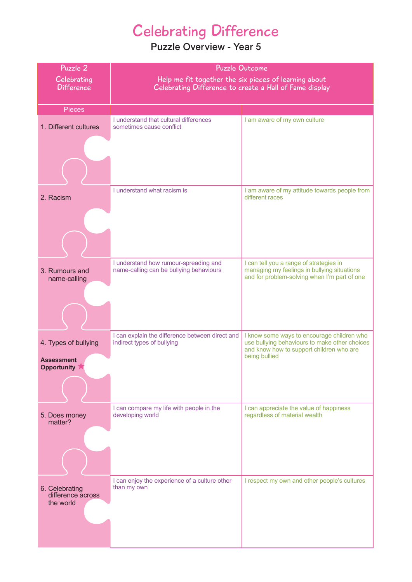# Celebrating Difference

| Puzzle 2<br>Celebrating<br><b>Difference</b>     | <b>Puzzle Outcome</b><br>Help me fit together the six pieces of learning about<br>Celebrating Difference to create a Hall of Fame display |                                                                                                                                                          |
|--------------------------------------------------|-------------------------------------------------------------------------------------------------------------------------------------------|----------------------------------------------------------------------------------------------------------------------------------------------------------|
| <b>Pieces</b>                                    |                                                                                                                                           |                                                                                                                                                          |
| 1. Different cultures                            | I understand that cultural differences<br>sometimes cause conflict                                                                        | I am aware of my own culture                                                                                                                             |
|                                                  |                                                                                                                                           |                                                                                                                                                          |
| 2. Racism                                        | I understand what racism is                                                                                                               | I am aware of my attitude towards people from<br>different races                                                                                         |
|                                                  |                                                                                                                                           |                                                                                                                                                          |
| 3. Rumours and<br>name-calling                   | I understand how rumour-spreading and<br>name-calling can be bullying behaviours                                                          | I can tell you a range of strategies in<br>managing my feelings in bullying situations<br>and for problem-solving when I'm part of one                   |
|                                                  |                                                                                                                                           |                                                                                                                                                          |
| 4. Types of bullying                             | I can explain the difference between direct and<br>indirect types of bullying                                                             | I know some ways to encourage children who<br>use bullying behaviours to make other choices<br>and know how to support children who are<br>being bullied |
| <b>Assessment</b><br><b>Opportunity</b>          |                                                                                                                                           |                                                                                                                                                          |
|                                                  |                                                                                                                                           |                                                                                                                                                          |
| 5. Does money<br>matter?                         | I can compare my life with people in the<br>developing world                                                                              | I can appreciate the value of happiness<br>regardless of material wealth                                                                                 |
|                                                  | I can enjoy the experience of a culture other                                                                                             | I respect my own and other people's cultures                                                                                                             |
| 6. Celebrating<br>difference across<br>the world | than my own                                                                                                                               |                                                                                                                                                          |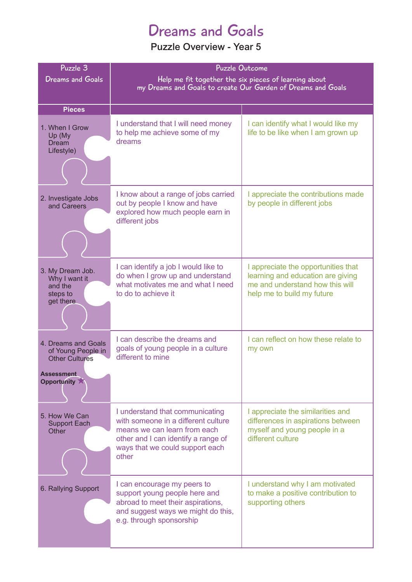## Dreams and Goals

| Puzzle 3<br><b>Dreams and Goals</b>                                                                    | <b>Puzzle Outcome</b><br>Help me fit together the six pieces of learning about<br>my Dreams and Goals to create Our Garden of Dreams and Goals                                            |                                                                                                                                           |
|--------------------------------------------------------------------------------------------------------|-------------------------------------------------------------------------------------------------------------------------------------------------------------------------------------------|-------------------------------------------------------------------------------------------------------------------------------------------|
| <b>Pieces</b>                                                                                          |                                                                                                                                                                                           |                                                                                                                                           |
| 1. When I Grow<br>Up (My<br><b>Dream</b><br>Lifestyle)                                                 | I understand that I will need money<br>to help me achieve some of my<br>dreams                                                                                                            | I can identify what I would like my<br>life to be like when I am grown up                                                                 |
| 2. Investigate Jobs<br>and Careers                                                                     | I know about a range of jobs carried<br>out by people I know and have<br>explored how much people earn in<br>different jobs                                                               | I appreciate the contributions made<br>by people in different jobs                                                                        |
| 3. My Dream Job.<br>Why I want it<br>and the<br>steps to<br>get there                                  | I can identify a job I would like to<br>do when I grow up and understand<br>what motivates me and what I need<br>to do to achieve it                                                      | I appreciate the opportunities that<br>learning and education are giving<br>me and understand how this will<br>help me to build my future |
| 4. Dreams and Goals<br>of Young People in<br><b>Other Cultures</b><br><b>Assessment</b><br>Opportunity | I can describe the dreams and<br>goals of young people in a culture<br>different to mine                                                                                                  | I can reflect on how these relate to<br>my own                                                                                            |
| 5. How We Can<br><b>Support Each</b><br>Other                                                          | I understand that communicating<br>with someone in a different culture<br>means we can learn from each<br>other and I can identify a range of<br>ways that we could support each<br>other | I appreciate the similarities and<br>differences in aspirations between<br>myself and young people in a<br>different culture              |
| 6. Rallying Support                                                                                    | I can encourage my peers to<br>support young people here and<br>abroad to meet their aspirations,<br>and suggest ways we might do this,<br>e.g. through sponsorship                       | I understand why I am motivated<br>to make a positive contribution to<br>supporting others                                                |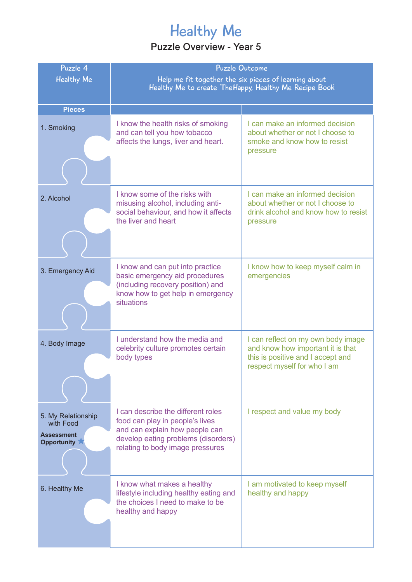# Healthy Me

| Puzzle 4<br><b>Healthy Me</b>                                       | <b>Puzzle Outcome</b><br>Help me fit together the six pieces of learning about<br>Healthy Me to create The Happy, Healthy Me Recipe Book                                           |                                                                                                                                             |
|---------------------------------------------------------------------|------------------------------------------------------------------------------------------------------------------------------------------------------------------------------------|---------------------------------------------------------------------------------------------------------------------------------------------|
| <b>Pieces</b>                                                       |                                                                                                                                                                                    |                                                                                                                                             |
| 1. Smoking                                                          | I know the health risks of smoking<br>and can tell you how tobacco<br>affects the lungs, liver and heart.                                                                          | I can make an informed decision<br>about whether or not I choose to<br>smoke and know how to resist<br>pressure                             |
| 2. Alcohol                                                          | I know some of the risks with<br>misusing alcohol, including anti-<br>social behaviour, and how it affects<br>the liver and heart                                                  | I can make an informed decision<br>about whether or not I choose to<br>drink alcohol and know how to resist<br>pressure                     |
| 3. Emergency Aid                                                    | I know and can put into practice<br>basic emergency aid procedures<br>(including recovery position) and<br>know how to get help in emergency<br>situations                         | I know how to keep myself calm in<br>emergencies                                                                                            |
| 4. Body Image                                                       | I understand how the media and<br>celebrity culture promotes certain<br>body types                                                                                                 | I can reflect on my own body image<br>and know how important it is that<br>this is positive and I accept and<br>respect myself for who I am |
| 5. My Relationship<br>with Food<br><b>Assessment</b><br>Opportunity | I can describe the different roles<br>food can play in people's lives<br>and can explain how people can<br>develop eating problems (disorders)<br>relating to body image pressures | I respect and value my body                                                                                                                 |
| 6. Healthy Me                                                       | I know what makes a healthy<br>lifestyle including healthy eating and<br>the choices I need to make to be<br>healthy and happy                                                     | I am motivated to keep myself<br>healthy and happy                                                                                          |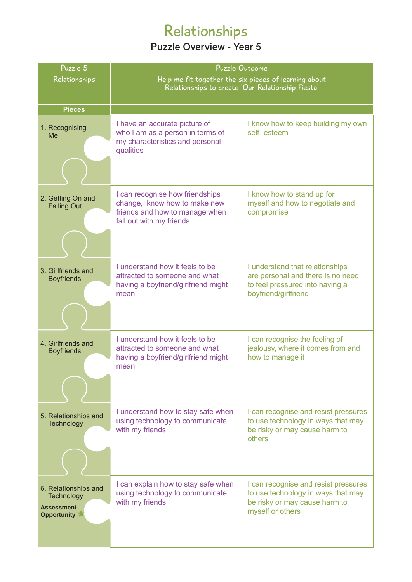# Relationships

| Puzzle 5                                                                      | <b>Puzzle Outcome</b>                                                                                                           |                                                                                                                                 |
|-------------------------------------------------------------------------------|---------------------------------------------------------------------------------------------------------------------------------|---------------------------------------------------------------------------------------------------------------------------------|
| Relationships                                                                 | Help me fit together the six pieces of learning about                                                                           |                                                                                                                                 |
|                                                                               | Relationships to create 'Our Relationship Fiesta'                                                                               |                                                                                                                                 |
| <b>Pieces</b>                                                                 |                                                                                                                                 |                                                                                                                                 |
| 1. Recognising<br>Me                                                          | I have an accurate picture of<br>who I am as a person in terms of<br>my characteristics and personal<br>qualities               | I know how to keep building my own<br>self-esteem                                                                               |
|                                                                               |                                                                                                                                 |                                                                                                                                 |
| 2. Getting On and<br><b>Falling Out</b>                                       | I can recognise how friendships<br>change, know how to make new<br>friends and how to manage when I<br>fall out with my friends | I know how to stand up for<br>myself and how to negotiate and<br>compromise                                                     |
|                                                                               |                                                                                                                                 |                                                                                                                                 |
| 3. Girlfriends and<br><b>Boyfriends</b>                                       | I understand how it feels to be<br>attracted to someone and what<br>having a boyfriend/girlfriend might<br>mean                 | I understand that relationships<br>are personal and there is no need<br>to feel pressured into having a<br>boyfriend/girlfriend |
| 4. Girlfriends and<br><b>Boyfriends</b>                                       | I understand how it feels to be<br>attracted to someone and what<br>having a boyfriend/girlfriend might<br>mean                 | I can recognise the feeling of<br>jealousy, where it comes from and<br>how to manage it                                         |
| 5. Relationships and<br>Technology                                            | I understand how to stay safe when<br>using technology to communicate<br>with my friends                                        | I can recognise and resist pressures<br>to use technology in ways that may<br>be risky or may cause harm to<br>others           |
| 6. Relationships and<br>Technology<br><b>Assessment</b><br><b>Opportunity</b> | I can explain how to stay safe when<br>using technology to communicate<br>with my friends                                       | I can recognise and resist pressures<br>to use technology in ways that may<br>be risky or may cause harm to<br>myself or others |